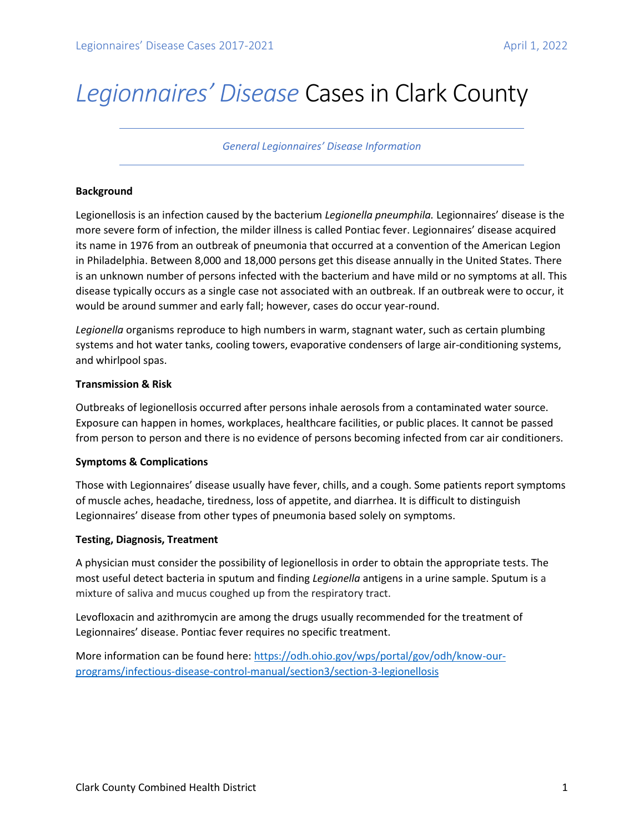# *Legionnaires' Disease* Cases in Clark County

*General Legionnaires' Disease Information*

# **Background**

Legionellosis is an infection caused by the bacterium *Legionella pneumphila.* Legionnaires' disease is the more severe form of infection, the milder illness is called Pontiac fever. Legionnaires' disease acquired its name in 1976 from an outbreak of pneumonia that occurred at a convention of the American Legion in Philadelphia. Between 8,000 and 18,000 persons get this disease annually in the United States. There is an unknown number of persons infected with the bacterium and have mild or no symptoms at all. This disease typically occurs as a single case not associated with an outbreak. If an outbreak were to occur, it would be around summer and early fall; however, cases do occur year-round.

*Legionella* organisms reproduce to high numbers in warm, stagnant water, such as certain plumbing systems and hot water tanks, cooling towers, evaporative condensers of large air-conditioning systems, and whirlpool spas.

# **Transmission & Risk**

Outbreaks of legionellosis occurred after persons inhale aerosols from a contaminated water source. Exposure can happen in homes, workplaces, healthcare facilities, or public places. It cannot be passed from person to person and there is no evidence of persons becoming infected from car air conditioners.

### **Symptoms & Complications**

Those with Legionnaires' disease usually have fever, chills, and a cough. Some patients report symptoms of muscle aches, headache, tiredness, loss of appetite, and diarrhea. It is difficult to distinguish Legionnaires' disease from other types of pneumonia based solely on symptoms.

### **Testing, Diagnosis, Treatment**

A physician must consider the possibility of legionellosis in order to obtain the appropriate tests. The most useful detect bacteria in sputum and finding *Legionella* antigens in a urine sample. Sputum is a mixture of saliva and mucus coughed up from the respiratory tract.

Levofloxacin and azithromycin are among the drugs usually recommended for the treatment of Legionnaires' disease. Pontiac fever requires no specific treatment.

More information can be found here[: https://odh.ohio.gov/wps/portal/gov/odh/know-our](https://odh.ohio.gov/wps/portal/gov/odh/know-our-programs/infectious-disease-control-manual/section3/section-3-legionellosis)[programs/infectious-disease-control-manual/section3/section-3-legionellosis](https://odh.ohio.gov/wps/portal/gov/odh/know-our-programs/infectious-disease-control-manual/section3/section-3-legionellosis)